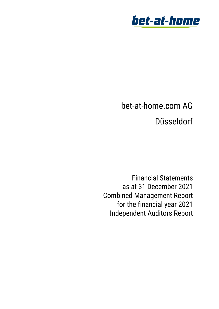

# bet-at-home.com AG Düsseldorf

Financial Statements as at 31 December 2021 Combined Management Report for the financial year 2021 Independent Auditors Report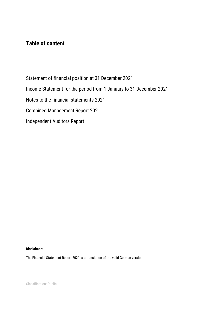# **Table of content**

Statement of financial position at 31 December 2021 Income Statement for the period from 1 January to 31 December 2021 Notes to the financial statements 2021 Combined Management Report 2021 Independent Auditors Report

## **Disclaimer:**

The Financial Statement Report 2021 is a translation of the valid German version.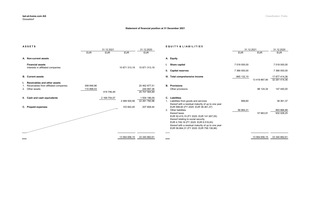|                                                                                                                                                                                                                                                               |              | 31.12.2021    |                                |  |
|---------------------------------------------------------------------------------------------------------------------------------------------------------------------------------------------------------------------------------------------------------------|--------------|---------------|--------------------------------|--|
|                                                                                                                                                                                                                                                               | <b>EUR</b>   | <b>EUR</b>    | <b>EUR</b>                     |  |
| <b>Equity</b>                                                                                                                                                                                                                                                 |              |               |                                |  |
| <b>Share capital</b>                                                                                                                                                                                                                                          | 7 018 000,00 |               | 7 018 000,00                   |  |
| <b>Capital reserves</b>                                                                                                                                                                                                                                       | 7 366 000,00 |               | 7 366 000,00                   |  |
| <b>Total comprehensive income</b>                                                                                                                                                                                                                             | -965 132,10  | 13 418 867.90 | 17 877 414,36<br>32 261 414,36 |  |
| <b>Provisions</b><br>Other provisions                                                                                                                                                                                                                         |              | 88 124,34     | 147 440,00                     |  |
| Liabilities                                                                                                                                                                                                                                                   |              |               |                                |  |
| Liabilities from goods and services<br>thereof with a residual maturity of up to one year<br>EUR 999,60 (FY 2020: EUR 38.361,37)                                                                                                                              | 999,60       |               | 38 361,37                      |  |
| Other liabilities<br>thereof taxes<br>EUR 50.415,15 (FY 2020: EUR 141.907,05)<br>thereof relating to social security<br>EUR 4.749,16 (FY 2020: EUR 6.516,83)<br>thereof with a residual maturity of up to one year<br>EUR 56.664,31 (FY 2020: EUR 758.136,86) | 56 664,31    | 57 663,91     | 893 666,88<br>932 028,25       |  |
|                                                                                                                                                                                                                                                               |              |               |                                |  |

| <b>ASSETS</b>                                                                            |                          |              |               |                                              | <b>EQUITY &amp; LIABILITIES</b>                                                                                                                                                                                                                                                                         |              |                            |                             |
|------------------------------------------------------------------------------------------|--------------------------|--------------|---------------|----------------------------------------------|---------------------------------------------------------------------------------------------------------------------------------------------------------------------------------------------------------------------------------------------------------------------------------------------------------|--------------|----------------------------|-----------------------------|
|                                                                                          |                          | 31.12.2021   |               | 31.12.2020                                   |                                                                                                                                                                                                                                                                                                         | 31.12.2021   |                            | 31.12.2020                  |
|                                                                                          | <b>EUR</b>               | <b>EUR</b>   | <b>EUR</b>    | <b>EUR</b>                                   |                                                                                                                                                                                                                                                                                                         | <b>EUR</b>   | <b>EUR</b>                 | <b>EUR</b>                  |
| A. Non-current assets                                                                    |                          |              |               |                                              | A. Equity                                                                                                                                                                                                                                                                                               |              |                            |                             |
| <b>Financial assets</b><br>Interests in affiliated companies                             |                          |              | 10 871 313,19 | 10 871 313,19                                | I. Share capital                                                                                                                                                                                                                                                                                        | 7 018 000,00 |                            | 7 018 000,00                |
|                                                                                          |                          |              |               |                                              | II. Capital reserves                                                                                                                                                                                                                                                                                    | 7 366 000,00 |                            | 7 366 000,00                |
| <b>B.</b> Current assets                                                                 |                          |              |               |                                              | III. Total comprehensive income                                                                                                                                                                                                                                                                         | -965 132,10  |                            | 17 877 414,36               |
| Receivables and other assets<br>Receivables from affiliated companies<br>2. Other assets | 308 846,96<br>110 899,53 | 419 746,49   |               | 20 462 877,51<br>244 687,38<br>20 707 564,89 | <b>B.</b> Provisions<br>Other provisions                                                                                                                                                                                                                                                                |              | 13 418 867,90<br>88 124,34 | 32 261 414,36<br>147 440,00 |
| II. Cash and cash equivalents                                                            |                          | 2 169 754,07 | 2 589 500,56  | 1 554 196,09<br>22 261 760,98                | C. Liabilities<br>1. Liabilities from goods and services<br>thereof with a residual maturity of up to one year                                                                                                                                                                                          | 999,60       |                            | 38 361,37                   |
| C. Prepaid expenses                                                                      |                          |              | 103 842,40    | 207 808,44                                   | EUR 999,60 (FY 2020: EUR 38.361,37)<br>2. Other liabilities<br>thereof taxes<br>EUR 50.415,15 (FY 2020: EUR 141.907,05)<br>thereof relating to social security<br>EUR 4.749,16 (FY 2020: EUR 6.516,83)<br>thereof with a residual maturity of up to one year<br>EUR 56.664,31 (FY 2020: EUR 758.136,86) | 56 664,31    | 57 663,91                  | 893 666,88<br>932 028,25    |
|                                                                                          |                          |              | 13 564 656,15 | 33 340 882,61                                |                                                                                                                                                                                                                                                                                                         |              | 13 564 656,15              | 33 340 882,61               |

#### **Statement of financial position at 31 December 2021**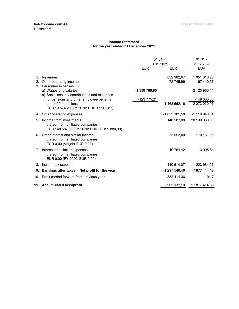#### **Income Statement for the year ended 31 December 2021**

|    |                                                                                                             | 01.01.        |                         | $01.01 -$                    |
|----|-------------------------------------------------------------------------------------------------------------|---------------|-------------------------|------------------------------|
|    |                                                                                                             | 31.12.2021    |                         | 31.12.2020                   |
|    |                                                                                                             | <b>EUR</b>    | <b>EUR</b>              | <b>EUR</b>                   |
| 2. | Revenues<br>Other operating income                                                                          |               | 832 962,67<br>72 745,96 | 1 051 816,26<br>67 410,57    |
|    | 3. Personnel expenses<br>a) Wages and salaries<br>b) Social security contributions and expenses             | -1 339 786,95 |                         | -2 123 960,11                |
|    | for pensions and other employee benefits<br>thereof for pensions<br>EUR 13.574,28 (FY 2020: EUR 17.902,87)  | -123 775,21   | -1 463 562,16           | -149 060,86<br>-2 273 020,97 |
| 4. | Other operating expenses                                                                                    |               | -1 023 181,58           | -1 110 943,84                |
| 5. | Income from investments<br>thereof from affiliated companies<br>EUR 148.587,00 (FY 2020: EUR 20.199.880,00) |               | 148 587,00              | 20 199 880,00                |
| 6. | Other interest and similar income<br>thereof from affiliated companies<br>EUR 0.00 (Vorjahr EUR 0.00)       |               | 35 052,00               | 170 161,98                   |
| 7. | Interest and similar expenses<br>thereof from affiliated companies<br>EUR 0,00 (FY 2020: EUR 0,00)          |               | $-10764,42$             | $-3905,54$                   |
|    | 8. Income tax expense                                                                                       |               | 110 614,07              | -223 984,27                  |
|    | 9. Earnings after taxes = Net profit for the year                                                           |               | -1 297 546,46           | 17 877 414,19                |
|    | 10. Profit carried forward from previous year                                                               |               | 332 414,36              | 0,17                         |
|    | 11. Accumulated loss/profit                                                                                 |               | $-965$ 132,10           | 17 877 414,36                |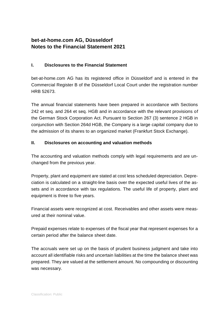## **bet-at-home.com AG, Düsseldorf Notes to the Financial Statement 2021**

## **I. Disclosures to the Financial Statement**

bet-at-home.com AG has its registered office in Düsseldorf and is entered in the Commercial Register B of the Düsseldorf Local Court under the registration number HRB 52673.

The annual financial statements have been prepared in accordance with Sections 242 et seq. and 264 et seq. HGB and in accordance with the relevant provisions of the German Stock Corporation Act. Pursuant to Section 267 (3) sentence 2 HGB in conjunction with Section 264d HGB, the Company is a large capital company due to the admission of its shares to an organized market (Frankfurt Stock Exchange).

## **II. Disclosures on accounting and valuation methods**

The accounting and valuation methods comply with legal requirements and are unchanged from the previous year.

Property, plant and equipment are stated at cost less scheduled depreciation. Depreciation is calculated on a straight-line basis over the expected useful lives of the assets and in accordance with tax regulations. The useful life of property, plant and equipment is three to five years.

Financial assets were recognized at cost. Receivables and other assets were measured at their nominal value.

Prepaid expenses relate to expenses of the fiscal year that represent expenses for a certain period after the balance sheet date.

The accruals were set up on the basis of prudent business judgment and take into account all identifiable risks and uncertain liabilities at the time the balance sheet was prepared. They are valued at the settlement amount. No compounding or discounting was necessary.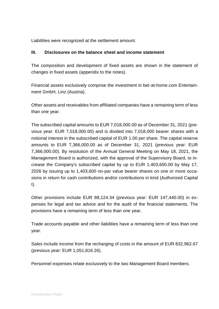Liabilities were recognized at the settlement amount.

## **III. Disclosures on the balance sheet and income statement**

The composition and development of fixed assets are shown in the statement of changes in fixed assets (appendix to the notes).

Financial assets exclusively comprise the investment in bet-at-home.com Entertainment GmbH, Linz (Austria).

Other assets and receivables from affiliated companies have a remaining term of less than one year.

The subscribed capital amounts to EUR 7,018,000.00 as of December 31, 2021 (previous year: EUR 7,018,000.00) and is divided into 7,018,000 bearer shares with a notional interest in the subscribed capital of EUR 1.00 per share. The capital reserve amounts to EUR 7,366,000.00 as of December 31, 2021 (previous year: EUR 7,366,000.00). By resolution of the Annual General Meeting on May 18, 2021, the Management Board is authorized, with the approval of the Supervisory Board, to increase the Company's subscribed capital by up to EUR 1,403,600.00 by May 17, 2026 by issuing up to 1,403,600 no-par value bearer shares on one or more occasions in return for cash contributions and/or contributions in kind (Authorized Capital  $\mathsf{I}$ 

Other provisions include EUR 88,124.34 (previous year: EUR 147,440.00) in expenses for legal and tax advice and for the audit of the financial statements. The provisions have a remaining term of less than one year.

Trade accounts payable and other liabilities have a remaining term of less than one year.

Sales include income from the recharging of costs in the amount of EUR 832,962.67 (previous year: EUR 1,051,816.26).

Personnel expenses relate exclusively to the two Management Board members.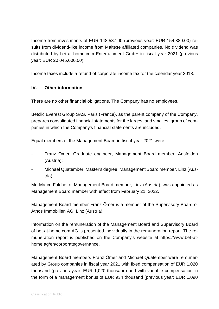Income from investments of EUR 148,587.00 (previous year: EUR 154,880.00) results from dividend-like income from Maltese affiliated companies. No dividend was distributed by bet-at-home.com Entertainment GmbH in fiscal year 2021 (previous year: EUR 20,045,000.00).

Income taxes include a refund of corporate income tax for the calendar year 2018.

## **IV. Other information**

There are no other financial obligations. The Company has no employees.

Betclic Everest Group SAS, Paris (France), as the parent company of the Company, prepares consolidated financial statements for the largest and smallest group of companies in which the Company's financial statements are included.

Equal members of the Management Board in fiscal year 2021 were:

- Franz Ömer, Graduate engineer, Management Board member, Ansfelden (Austria);
- Michael Quatember, Master's degree, Management Board member, Linz (Austria).

Mr. Marco Falchetto, Management Board member, Linz (Austria), was appointed as Management Board member with effect from February 21, 2022.

Management Board member Franz Ömer is a member of the Supervisory Board of Athos Immobilien AG, Linz (Austria).

Information on the remuneration of the Management Board and Supervisory Board of bet-at-home.com AG is presented individually in the remuneration report. The remuneration report is published on the Company's website at https://www.bet-athome.ag/en/corporategovernance.

Management Board members Franz Ömer and Michael Quatember were remunerated by Group companies in fiscal year 2021 with fixed compensation of EUR 1,020 thousand (previous year: EUR 1,020 thousand) and with variable compensation in the form of a management bonus of EUR 934 thousand (previous year: EUR 1,090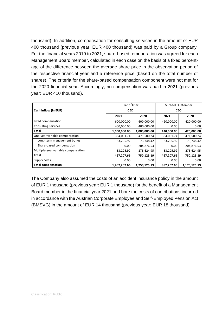thousand). In addition, compensation for consulting services in the amount of EUR 400 thousand (previous year: EUR 400 thousand) was paid by a Group company. For the financial years 2019 to 2021, share-based remuneration was agreed for each Management Board member, calculated in each case on the basis of a fixed percentage of the difference between the average share price in the observation period of the respective financial year and a reference price (based on the total number of shares). The criteria for the share-based compensation component were not met for the 2020 financial year. Accordingly, no compensation was paid in 2021 (previous year: EUR 410 thousand).

|                                     | Franz Ömer   |              | Michael Quatember |              |  |
|-------------------------------------|--------------|--------------|-------------------|--------------|--|
| Cash inflow (in EUR)                | CEO          |              | CEO               |              |  |
|                                     | 2021         | 2020         | 2021              | 2020         |  |
| Fixed compensation                  | 600,000.00   | 600,000.00   | 420,000.00        | 420,000.00   |  |
| Consulting services                 | 400,000.00   | 400,000.00   | 0.00              | 0.00         |  |
| <b>Total</b>                        | 1,000,000.00 | 1,000,000.00 | 420,000.00        | 420,000.00   |  |
| One-year variable compensation      | 384,001.74   | 471,500.24   | 384,001.74        | 471,500.24   |  |
| Long-term management bonus          | 83,205.92    | 73,748.42    | 83,205.92         | 73,748.42    |  |
| Share-based compensation            | 0.00         | 204,876.53   | 0.00              | 204,876.53   |  |
| Multiple-year variable compensation | 83,205.92    | 278,624.95   | 83,205.92         | 278,624.95   |  |
| <b>Total</b>                        | 467,207.66   | 750,125.19   | 467,207.66        | 750,125.19   |  |
| Supply costs                        | 0.00         | 0.00         | 0.00              | 0.00         |  |
| <b>Total compensation</b>           | 1,467,207.66 | 1,750,125.19 | 887,207.66        | 1,170,125.19 |  |

The Company also assumed the costs of an accident insurance policy in the amount of EUR 1 thousand (previous year: EUR 1 thousand) for the benefit of a Management Board member in the financial year 2021 and bore the costs of contributions incurred in accordance with the Austrian Corporate Employee and Self-Employed Pension Act (BMSVG) in the amount of EUR 14 thousand (previous year: EUR 18 thousand).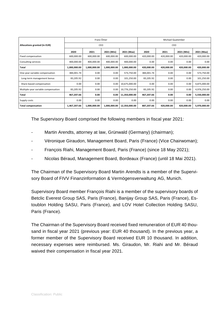|                                     | Franz Ömer   |              |              |               | Michael Quatember |            |            |              |  |
|-------------------------------------|--------------|--------------|--------------|---------------|-------------------|------------|------------|--------------|--|
| Allocations granted (in EUR)        |              | CEO          |              |               |                   | CEO        |            |              |  |
|                                     | 2020         | 2021         | 2021 (Min)   | 2021 (Max)    | 2020              | 2021       | 2021 (Min) | 2021 (Max)   |  |
| Fixed compensation                  | 600,000.00   | 600,000.00   | 600,000.00   | 600,000.00    | 420,000.00        | 420,000.00 | 420,000.00 | 420,000.00   |  |
| Consulting services                 | 400,000.00   | 400,000.00   | 400,000.00   | 400,000.00    | 0.00              | 0.00       | 0.00       | 0.00         |  |
| Total                               | 1,000,000.00 | 1,000,000.00 | 1,000,000.00 | 1,000,000.00  | 420,000.00        | 420,000.00 | 420,000.00 | 420,000.00   |  |
| One-year variable compensation      | 384,001.74   | 0.00         | 0.00         | 573,750.00    | 384,001.74        | 0.00       | 0.00       | 573,750.00   |  |
| Long-term management bonus          | 83,205.92    | 0.00         | 0.00         | 101,250.00    | 83,205.92         | 0.00       | 0.00       | 101,250.00   |  |
| Share-based compensation            | 0.00         | 0.00         | 0.00         | 10,675,000.00 | 0.00              | 0.00       | 0.00       | 4,875,000.00 |  |
| Multiple-year variable compensation | 83,205.92    | 0.00         | 0.00         | 10,776,250.00 | 83,205.92         | 0.00       | 0.00       | 4,976,250.00 |  |
| Total                               | 467,207.66   | 0.00         | 0.00         | 11,350,000.00 | 467,207.66        | 0.00       | 0.00       | 5,550,000.00 |  |
| Supply costs                        | 0.00         | 0.00         | 0.00         | 0.00          | 0.00              | 0.00       | 0.00       | 0.00         |  |
| <b>Total compensation</b>           | 1,467,207.66 | 1,000,000.00 | 1,000,000.00 | 12,350,000.00 | 887,207.66        | 420,000.00 | 420,000.00 | 5,970,000.00 |  |

The Supervisory Board comprised the following members in fiscal year 2021:

- Martin Arendts, attorney at law, Grünwald (Germany) (chairman);
- Véronique Giraudon, Management Board, Paris (France) (Vice Chairwoman);
- François Riahi, Management Board, Paris (France) (since 18 May 2021);
- Nicolas Béraud, Management Board, Bordeaux (France) (until 18 Mai 2021).

The Chairman of the Supervisory Board Martin Arendts is a member of the Supervisory Board of FIVV Finanzinformation & Vermögensverwaltung AG, Munich.

Supervisory Board member François Riahi is a member of the supervisory boards of Betclic Everest Group SAS, Paris (France), Banijay Group SAS, Paris (France), Estoublon Holding SASU, Paris (France), and LOV Hotel Collection Holding SASU, Paris (France).

The Chairman of the Supervisory Board received fixed remuneration of EUR 40 thousand in fiscal year 2021 (previous year: EUR 40 thousand). In the previous year, a former member of the Supervisory Board received EUR 10 thousand. In addition, necessary expenses were reimbursed. Ms. Giraudon, Mr. Riahi and Mr. Béraud waived their compensation in fiscal year 2021.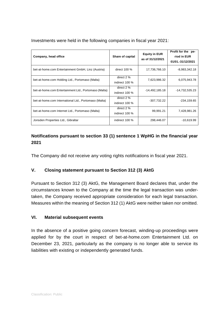| Company, head office                                  | Share of capital             | <b>Equity in EUR</b><br>as of 31/12/2021 | Profit for the pe-<br>riod in EUR<br>01/01.-31/12/2021 |
|-------------------------------------------------------|------------------------------|------------------------------------------|--------------------------------------------------------|
| bet-at-home.com Entertainment GmbH, Linz (Austria)    | direct $100\%$               | 17,736,766.10                            | $-8,983,342.18$                                        |
| bet-at-home.com Holding Ltd., Portomaso (Malta)       | direct 2 %<br>indirect 100 % | 7,623,986.32                             | 6,075,943.78                                           |
| bet-at-home.com Entertainment Ltd., Portomaso (Malta) | direct 2 %<br>indirect 100 % | -14,492,185.18                           | -14,732,535.23                                         |
| bet-at-home.com International Ltd., Portomaso (Malta) | direct 2 %<br>indirect 100 % | -307,732.22                              | $-234, 159.65$                                         |
| bet-at-home.com Internet Ltd., Portomaso (Malta)      | direct 2 %<br>indirect 100 % | 99,991.21                                | 7,428,981.26                                           |
| Jonsden Properties Ltd., Gibraltar                    | indirect 100 %               | 298,446.07                               | $-10,619.99$                                           |

Investments were held in the following companies in fiscal year 2021:

## **Notifications pursuant to section 33 (1) sentence 1 WpHG in the financial year 2021**

The Company did not receive any voting rights notifications in fiscal year 2021.

## **V. Closing statement pursuant to Section 312 (3) AktG**

Pursuant to Section 312 (3) AktG, the Management Board declares that, under the circumstances known to the Company at the time the legal transaction was undertaken, the Company received appropriate consideration for each legal transaction. Measures within the meaning of Section 312 (1) AktG were neither taken nor omitted.

## **VI. Material subsequent events**

In the absence of a positive going concern forecast, winding-up proceedings were applied for by the court in respect of bet-at-home.com Entertainment Ltd. on December 23, 2021, particularly as the company is no longer able to service its liabilities with existing or independently generated funds.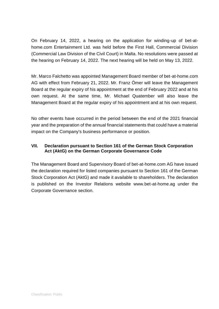On February 14, 2022, a hearing on the application for winding-up of bet-athome.com Entertainment Ltd. was held before the First Hall, Commercial Division (Commercial Law Division of the Civil Court) in Malta. No resolutions were passed at the hearing on February 14, 2022. The next hearing will be held on May 13, 2022.

Mr. Marco Falchetto was appointed Management Board member of bet-at-home.com AG with effect from February 21, 2022. Mr. Franz Ömer will leave the Management Board at the regular expiry of his appointment at the end of February 2022 and at his own request. At the same time, Mr. Michael Quatember will also leave the Management Board at the regular expiry of his appointment and at his own request.

No other events have occurred in the period between the end of the 2021 financial year and the preparation of the annual financial statements that could have a material impact on the Company's business performance or position.

## **VII. Declaration pursuant to Section 161 of the German Stock Corporation Act (AktG) on the German Corporate Governance Code**

The Management Board and Supervisory Board of bet-at-home.com AG have issued the declaration required for listed companies pursuant to Section 161 of the German Stock Corporation Act (AktG) and made it available to shareholders. The declaration is published on the Investor Relations website www.bet-at-home.ag under the Corporate Governance section.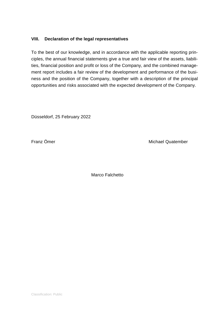## **VIII. Declaration of the legal representatives**

To the best of our knowledge, and in accordance with the applicable reporting principles, the annual financial statements give a true and fair view of the assets, liabilities, financial position and profit or loss of the Company, and the combined management report includes a fair review of the development and performance of the business and the position of the Company, together with a description of the principal opportunities and risks associated with the expected development of the Company.

Düsseldorf, 25 February 2022

Franz Ömer Michael Quatember

Marco Falchetto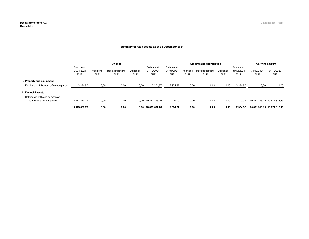#### **Summary of fixed assets as at 31 December 2021**

|                                                            | At cost                         |                         |                                 |                                | <b>Accumulated depreciation</b>        |                                        |                         |                                 | Carrying amount                |                                        |                          |                             |
|------------------------------------------------------------|---------------------------------|-------------------------|---------------------------------|--------------------------------|----------------------------------------|----------------------------------------|-------------------------|---------------------------------|--------------------------------|----------------------------------------|--------------------------|-----------------------------|
|                                                            | Balance at<br>01/01/2021<br>EUR | Additions<br><b>EUR</b> | Reclassifiactions<br><b>EUR</b> | <b>Disposals</b><br><b>EUR</b> | Balance at<br>31/12/2021<br><b>EUR</b> | Balance at<br>01/01/2021<br><b>EUR</b> | Additions<br><b>EUR</b> | Reclassifiactions<br><b>EUR</b> | <b>Disposals</b><br><b>EUR</b> | Balance at<br>31/12/2021<br><b>EUR</b> | 31/12/2021<br><b>EUR</b> | 31/12/2020<br><b>EUR</b>    |
| I. Property and equipment                                  |                                 |                         |                                 |                                |                                        |                                        |                         |                                 |                                |                                        |                          |                             |
| Furniture and fixtures, office equipment                   | 2 374,57                        | 0,00                    | 0,00                            | 0,00                           | 2 3 7 4 5 7                            | 2 3 7 4 , 5 7                          | 0,00                    | 0,00                            | 0,00                           | 2 3 7 4 , 5 7                          | 0,00                     | 0,00                        |
| l. Financial assets                                        |                                 |                         |                                 |                                |                                        |                                        |                         |                                 |                                |                                        |                          |                             |
| Holdings in affiliated companies<br>bah Entertainment GmbH | 10 871 313,19                   | 0,00                    | 0,00                            | 0,00                           | 10 871 313,19                          | 0,00                                   | 0,00                    | 0,00                            | 0,00                           | 0,00                                   |                          | 10 871 313.19 10 871 313.19 |
|                                                            | 10 873 687,76                   | 0,00                    | 0,00                            | 0,00                           | 10 873 687,76                          | 2 374,57                               | 0,00                    | 0,00                            | 0,00                           | 2 374,57                               |                          | 10 871 313,19 10 871 313,19 |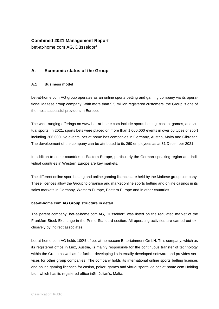## **Combined 2021 Management Report**

bet-at-home.com AG, Düsseldorf

## **A. Economic status of the Group**

#### **A.1 Business model**

bet-at-home.com AG group operates as an online sports betting and gaming company via its operational Maltese group company. With more than 5.5 million registered customers, the Group is one of the most successful providers in Europe.

The wide-ranging offerings on www.bet-at-home.com include sports betting, casino, games, and virtual sports. In 2021, sports bets were placed on more than 1,000,000 events in over 50 types of sport including 206,000 live events. bet-at-home has companies in Germany, Austria, Malta and Gibraltar. The development of the company can be attributed to its 260 employees as at 31 December 2021.

In addition to some countries in Eastern Europe, particularly the German-speaking region and individual countries in Western Europe are key markets.

The different online sport betting and online gaming licences are held by the Maltese group company. These licences allow the Group to organise and market online sports betting and online casinos in its sales markets in Germany, Western Europe, Eastern Europe and in other countries.

#### **bet-at-home.com AG Group structure in detail**

The parent company, bet-at-home.com AG, Düsseldorf, was listed on the regulated market of the Frankfurt Stock Exchange in the Prime Standard section. All operating activities are carried out exclusively by indirect associates.

bet-at-home.com AG holds 100% of bet-at-home.com Entertainment GmbH. This company, which as its registered office in Linz, Austria, is mainly responsible for the continuous transfer of technology within the Group as well as for further developing its internally developed software and provides services for other group companies. The company holds its international online sports betting licenses and online gaming licenses for casino, poker, games and virtual sports via bet-at-home.com Holding Ltd., which has its registered office inSt. Julian's, Malta.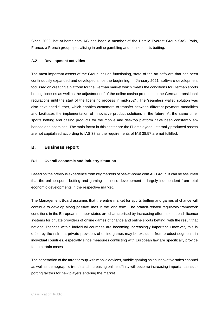Since 2009, bet-at-home.com AG has been a member of the Betclic Everest Group SAS, Paris, France, a French group specialising in online gambling and online sports betting.

#### **A.2 Development activities**

The most important assets of the Group include functioning, state-of-the-art software that has been continuously expanded and developed since the beginning. In January 2021, software development focussed on creating a platform for the German market which meets the conditions for German sports betting licenses as well as the adjustment of of the online casino products to the German transitional regulations until the start of the licensing process in mid-2021. The 'seamless wallet' solution was also developed further, which enables customers to transfer between different payment modalities and facilitates the implementation of innovative product solutions in the future. At the same time, sports betting and casino products for the mobile and desktop platform have been constantly enhanced and optimised. The main factor in this sector are the IT employees. Internally produced assets are not capitalised according to IAS 38 as the requirements of IAS 38.57 are not fulfilled.

## **B. Business report**

#### **B.1 Overall economic and industry situation**

Based on the previous experience from key markets of bet-at-home.com AG Group, it can be assumed that the online sports betting and gaming business development is largely independent from total economic developments in the respective market.

The Management Board assumes that the entire market for sports betting and games of chance will continue to develop along positive lines in the long term. The branch-related regulatory framework conditions in the European member states are characterised by increasing efforts to establish licence systems for private providers of online games of chance and online sports betting, with the result that national licences within individual countries are becoming increasingly important. However, this is offset by the risk that private providers of online games may be excluded from product segments in individual countries, especially since measures conflicting with European law are specifically provide for in certain cases.

The penetration of the target group with mobile devices, mobile gaming as an innovative sales channel as well as demographic trends and increasing online affinity will become increasing important as supporting factors for new players entering the market.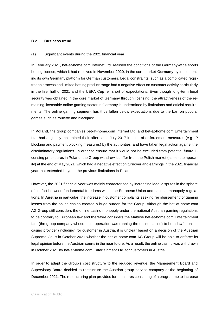#### **B.2 Business trend**

#### (1) Significant events during the 2021 financial year

In February 2021, bet-at-home.com Internet Ltd. realised the conditions of the Germany-wide sports betting licence, which it had received in November 2020, in the core market **Germany** by implementing its own Germany platform for German customers. Legal constraints, such as a complicated registration process and limited betting product range had a negative effect on customer activity particularly in the first half of 2021 and the UEFA Cup fell short of expectations. Even though long-term legal security was obtained in the core market of Germany through licensing, the attractiveness of the remaining licensable online gaming sector in Germany is undermined by limitations and official requirements. The online gaming segment has thus fallen below expectations due to the ban on popular games such as roulette and blackjack.

In **Poland**, the group companies bet-at-home.com Internet Ltd. and bet-at-home.com Entertainment Ltd. had originally maintained their offer since July 2017 in spite of enforcement measures (e.g. IP blocking and payment blocking measures) by the authorities and have taken legal action against the discriminatory regulations. In order to ensure that it would not be excluded from potential future licensing procedures in Poland, the Group withdrew its offer from the Polish market (at least temporarily) at the end of May 2021, which had a negative effect on turnover and earnings in the 2021 financial year that extended beyond the previous limitations in Poland.

However, the 2021 financial year was mainly characterised by increasing legal disputes in the sphere of conflict between fundamental freedoms within the European Union and national monopoly regulations. In **Austria** in particular, the increase in customer complaints seeking reimbursement for gaming losses from the online casino created a huge burden for the Group. Although the bet-at-home.com AG Group still considers the online casino monopoly under the national Austrian gaming regulations to be contrary to European law and therefore considers the Maltese bet-at-home.com Entertainment Ltd. (the group company whose main operation was running the online casino) to be a lawful online casino provider (including) for customer in Austria, it is unclear based on a decision of the Aus trian Supreme Court in October 2021 whether the bet-at-home.com AG Group will be able to enforce its legal opinion before the Austrian courts in the near future. As a result, the online casino was withdrawn in October 2021 by bet-at-home.com Entertainment Ltd. for customers in Austria.

In order to adapt the Group's cost structure to the reduced revenue, the Management Board and Supervisory Board decided to restructure the Austrian group service company at the beginning of December 2021. The restructuring plan provides for measures consisting of a programme to increase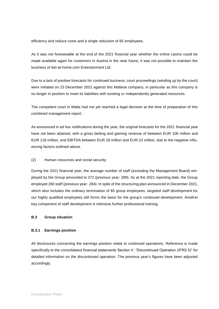efficiency and reduce costs and a single reduction of 65 employees.

As it was not foreseeable at the end of the 2021 financial year whether the online casino could be made available again for customers in Austria in the near future, it was not possible to maintain the business of bet-at-home.com Entertainment Ltd.

Due to a lack of positive forecasts for continued business, court proceedings (winding up by the court) were initiated on 23 December 2021 against this Maltese company, in particular as this company is no longer in position to meet its liabilities with existing or independently generated resources.

The competent court in Malta had not yet reached a legal decision at the time of preparation of this combined management report.

As announced in ad hoc notifications during the year, the original forecasts for the 2021 financial year have not been attained, with a gross betting and gaming revenue of between EUR 106 million and EUR 118 million, and EBITDA between EUR 18 million and EUR 22 million, due to the negative influencing factors outlined above.

#### (2) Human resources and social security

During the 2021 financial year, the average number of staff (excluding the Management Board) employed by the Group amounted to 272 (previous year: 289). As at the 2021 reporting date, the Group employed 260 staff (previous year: 284). In spite of the structuring plan announced in December 2021, which also includes the ordinary termination of 65 group employees, targeted staff development for our highly qualified employees still forms the basis for the group's continued development. Another key component of staff development is intensive further professional training.

#### **B.3 Group situation**

#### **B.3.1 Earnings position**

All disclosures concerning the earnings position relate to continued operations. Reference is made specifically to the consolidated financial statements Section V. "Discontinued Operation (IFRS 5)" for detailed information on the discontinued operation. The previous year's figures have been adjusted accordingly.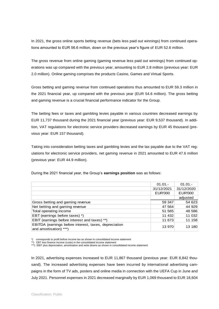In 2021, the gross online sports betting revenue (bets less paid out winnings) from continued operations amounted to EUR 56.6 million, down on the previous year's figure of EUR 52.6 million.

The gross revenue from online gaming (gaming revenue less paid out winnings) from continued operations was up compared with the previous year, amounting to EUR 2.8 million (previous year: EUR 2.0 million). Online gaming comprises the products Casino, Games and Virtual Sports.

Gross betting and gaming revenue from continued operations thus amounted to EUR 59.3 million in the 2021 financial year, up compared with the previous year (EUR 54.6 million). The gross betting and gaming revenue is a crucial financial performance indicator for the Group.

The betting fees or taxes and gambling levies payable in various countries decreased earnings by EUR 11,737 thousand during the 2021 financial year (previous year: EUR 9,537 thousand). In addition, VAT regulations for electronic service providers decreased earnings by EUR 45 thousand (previous year: EUR 157 thousand).

Taking into consideration betting taxes and gambling levies and the tax payable due to the VAT regulations for electronic service providers, net gaming revenue in 2021 amounted to EUR 47.6 million (previous year: EUR 44.9 million).

|                                                                                 | $01.01 -$      | $01.01 -$      |
|---------------------------------------------------------------------------------|----------------|----------------|
|                                                                                 | 31/12/2021     | 31/12/2020     |
|                                                                                 | <b>EUR'000</b> | <b>EUR'000</b> |
|                                                                                 |                | adjusted       |
| Gross betting and gaming revenue                                                | 59 347         | 54 623         |
| Net betting and gaming revenue                                                  | 47 5 64        | 44 929         |
| Total operating income                                                          | 51 565         | 48 586         |
| EBT (earnings before taxes) *)                                                  | 11 432         | 11 032         |
| EBIT (earnings before interest and taxes) **)                                   | 11 673         | 11 158         |
| EBITDA (earnings before interest, taxes, depreciation<br>and amortisation) ***) | 13 970         | 13 180         |

During the 2021 financial year, the Group's **earnings position** was as follows:

corresponds to profit before income tax as shown in consolidated income statement

\*) corresponds to profit performation income was accommodated income statement<br>\*\*) EBT less finance income (costs) in the consolidated income statement

\*\*\*) EBIT plus depreciation, amortisation and write-downs as shown in consolidated income statement

In 2021, advertising expenses increased to EUR 11,867 thousand (previous year: EUR 8,842 thousand). The increased advertising expenses have been incurred by international advertising campaigns in the form of TV ads, posters and online media in connection with the UEFA Cup in June and July 2021. Personnel expenses in 2021 decreased marginally by EUR 1,069 thousand to EUR 18,604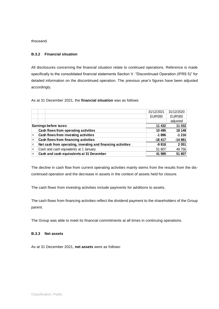thousand.

#### **B.3.2 Financial situation**

All disclosures concerning the financial situation relate to continued operations. Reference is made specifically to the consolidated financial statements Section V. "Discontinued Operation (IFRS 5)" for detailed information on the discontinued operation. The previous year's figures have been adjusted accordingly.

As at 31 December 2021, the **financial situation** was as follows:

|     |                                                             | 31/12/2021     | 31/12/2020     |
|-----|-------------------------------------------------------------|----------------|----------------|
|     |                                                             | <b>EUR'000</b> | <b>EUR'000</b> |
|     |                                                             |                | adjusted       |
|     | <b>Earnings before taxes</b>                                | 11 432         | 11 032         |
|     | Cash flows from operating activities                        | 10 495         | 18 148         |
| $+$ | Cash flows from investing activities                        | $-1896$        | $-1216$        |
| $+$ | Cash flows from financing activities                        | $-18417$       | $-14881$       |
| l=  | Net cash from operating, investing and financing activities | $-9818$        | 2 0 51         |
| $+$ | Cash and cash equivalents at 1 January                      | 51 807         | 49 756         |
|     | Cash and cash equivalents at 31 December                    | 41 989         | 51 807         |

The decline in cash flow from current operating activities mainly stems from the results from the discontinued operation and the decrease in assets in the context of assets held for closure.

The cash flows from investing activities include payments for additions to assets.

The cash flows from financing activities reflect the dividend payment to the shareholders of the Group parent.

The Group was able to meet its financial commitments at all times in continuing operations.

#### **B.3.3 Net assets**

As at 31 December 2021, **net assets** were as follows: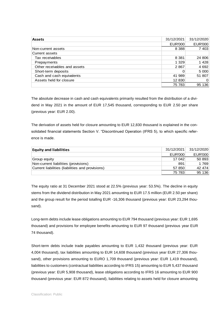| <b>Assets</b>                | 31/12/2021     | 31/12/2020     |
|------------------------------|----------------|----------------|
|                              | <b>EUR'000</b> | <b>EUR'000</b> |
| Non-current assets           | 8 3 8 8        | 7 4 0 3        |
| Current assets               |                |                |
| Tax receivables              | 8 3 8 1        | 24 806         |
| Prepayments                  | 1 3 2 9        | 1428           |
| Other receivables and assets | 2867           | 4 6 9 2        |
| Short-term deposits          | 0              | 5 0 0 0        |
| Cash and cash equivalents    | 41 989         | 51 807         |
| Assets held for closure      | 12 830         | 0              |
|                              | 75 783         | 136<br>95      |

The absolute decrease in cash and cash equivalents primarily resulted from the distribution of a dividend in May 2021 in the amount of EUR 17,545 thousand, corresponding to EUR 2.50 per share (previous year: EUR 2.00).

The derivation of assets held for closure amounting to EUR 12,830 thousand is explained in the consolidated financial statements Section V. "Discontinued Operation (IFRS 5), to which specific reference is made.

| <b>Equity and liabilities</b>                    | 31/12/2021 | 31/12/2020     |
|--------------------------------------------------|------------|----------------|
|                                                  | EUR'000    | <b>EUR'000</b> |
| Group equity                                     | 17 042     | 50 893         |
| Non-current liabilities (provisions)             | 891        | 1 769          |
| Current liabilities (liabilities and provisions) | 57 850     | 42 474         |
|                                                  | 75 783     | 95 136         |

The equity ratio at 31 December 2021 stood at 22.5% (previous year: 53.5%). The decline in equity stems from the dividend distribution in May 2021 amounting to EUR 17.5 million (EUR 2.50 per share) and the group result for the period totalling EUR -16,306 thousand (previous year: EUR 23,294 thousand).

Long-term debts include lease obligations amounting to EUR 794 thousand (previous year: EUR 1,695 thousand) and provisions for employee benefits amounting to EUR 97 thousand (previous year EUR 74 thousand).

Short-term debts include trade payables amounting to EUR 1,432 thousand (previous year: EUR 4,004 thousand), tax liabilities amounting to EUR 14,608 thousand (previous year EUR 27,306 thousand), other provisions amounting to EURO 1,709 thousand (previous year: EUR 1,419 thousand), liabilities to customers (contractual liabilities according to IFRS 15) amounting to EUR 5,437 thousand (previous year: EUR 5,908 thousand), lease obligations according to IFRS 16 amounting to EUR 900 thousand (previous year: EUR 872 thousand), liabilities relating to assets held for closure amounting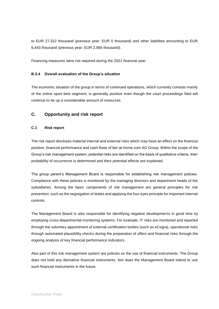to EUR 27,322 thousand (previous year: EUR 0 thousand) and other liabilities amounting to EUR 6,443 thousand (previous year: EUR 2,966 thousand).

Financing measures were not required during the 2021 financial year.

#### **B.3.4 Overall evaluation of the Group's situation**

The economic situation of the group in terms of continued operations, which currently consists mainly of the online sport bets segment, is generally positive even though the court proceedings filed will continue to tie up a considerable amount of resources.

## **C. Opportunity and risk report**

#### **C.1 Risk report**

The risk report discloses material internal and external risks which may have an effect on the financial position, financial performance and cash flows of bet-at-home.com AG Group. Within the scope of the Group's risk management system, potential risks are identified on the basis of qualitative criteria, their probability of occurrence is determined and their potential effects are explained.

The group parent's Management Board is responsible for establishing risk management policies. Compliance with these policies is monitored by the managing directors and department heads of the subsidiaries. Among the basic components of risk management are general principles for risk prevention, such as the segregation of duties and applying the four eyes principle for important internal controls.

The Management Board is also responsible for identifying negative developments in good time by employing cross-departmental monitoring systems. For example, IT risks are monitored and reported through the voluntary appointment of external certification bodies (such as eCogra), operational risks through automated plausibility checks during the preparation of offers and financial risks through the ongoing analysis of key financial performance indicators.

Also part of this risk management system are policies on the use of financial instruments. The Group does not hold any derivative financial instruments. Nor does the Management Board intend to use such financial instruments in the future.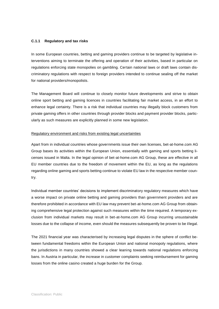#### **C.1.1 Regulatory and tax risks**

In some European countries, betting and gaming providers continue to be targeted by legislative interventions aiming to terminate the offering and operation of their activities, based in particular on regulations enforcing state monopolies on gambling. Certain national laws or draft laws contain discriminatory regulations with respect to foreign providers intended to continue sealing off the market for national providers/monopolists.

The Management Board will continue to closely monitor future developments and strive to obtain online sport betting and gaming licences in countries facilitating fair market access, in an effort to enhance legal certainty. There is a risk that individual countries may illegally block customers from private gaming offers in other countries through provider blocks and payment provider blocks, particularly as such measures are explicitly planned in some new legislation.

#### Regulatory environment and risks from existing legal uncertainties

Apart from in individual countries whose governments issue their own licenses, bet-at-home.com AG Group bases its activities within the European Union, essentially with gaming and sports betting licenses issued in Malta. In the legal opinion of bet-at-home.com AG Group, these are effective in all EU member countries due to the freedom of movement within the EU, as long as the regulations regarding online gaming and sports betting continue to violate EU law in the respective member country.

Individual member countries' decisions to implement discriminatory regulatory measures which have a worse impact on private online betting and gaming providers than government providers and are therefore prohibited in accordance with EU law may prevent bet-at-home.com AG Group from obtaining comprehensive legal protection against such measures within the time required. A temporary exclusion from individual markets may result in bet-at-home.com AG Group incurring unsustainable losses due to the collapse of income, even should the measures subsequently be proven to be il legal.

The 2021 financial year was characterised by increasing legal disputes in the sphere of conflict between fundamental freedoms within the European Union and national monopoly regulations, where the jurisdictions in many countries showed a clear leaning towards national regulations enforcing bans. In Austria in particular, the increase in customer complaints seeking reimbursement for gaming losses from the online casino created a huge burden for the Group.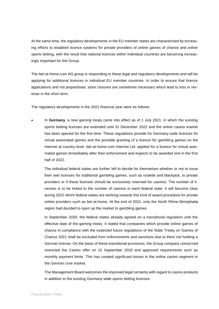At the same time, the regulatory developments in the EU member states are characterised by increasing efforts to establish licence systems for private providers of online games of chance and online sports betting, with the result that national licences within individual countries are becoming increasingly important for the Group.

The bet-at-home.com AG group is responding to these legal and regulatory developments and will be applying for additional licences in individual EU member countries. In order to ensure that licence applications and not jeopardised, store closures are sometimes necessary which lead to loss in revenue in the short term.

The regulatory developments in the 2021 financial year were as follows:

• In **Germany**, a new gaming treaty came into effect as of 1 July 2021, in which the existing sports betting licenses are extended until 31 December 2022 and the online casino market has been opened for the first time. These regulations provide for Germany-wide licences for virtual automated games and the possible granting of a licence for gambling games on the Internet at country level. bet-at-home.com Internet Ltd. applied for a licence for virtual automated games immediately after their enforcement and expects to be awarded one in the first half of 2022.

The individual federal states are further left to decide for themselves whether or not to issue their own licenses for traditional gambling games, such as roulette and blackjack, to private providers or if these licenses should be exclusively reserved for casinos. The number of licenses is to be linked to the number of casinos in each federal state. It will become clear during 2022 which federal states are working towards this kind of award procedure for private online providers such as bet-at-home. At the end of 2021, only the North Rhine-Westphalia region had decided to open up the market to gambling games.

In September 2020, the federal states already agreed on a transitional regulation until the effective date of the gaming treaty. It stated that companies which provide online games of chance in compliance with the expected future regulations of the State Treaty on Games of Chance 2021 shall be excluded from enforcements and sanctions due to them not holding a German license. On the basis of these transitional provisions, the Group company concerned restricted the Casino offer on 15 September 2020 and approved requirements such as monthly payment limits. This has created significant losses in the online casino segment in the German core market.

The Management Board welcomes the improved legal certainty with regard to casino products in addition to the existing Germany-wide sports betting licenses.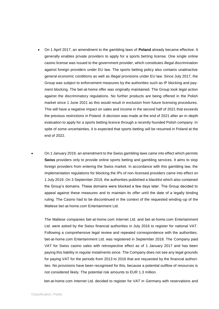• On 1 April 2017, an amendment to the gambling laws of **Poland** already became effective. It generally enables private providers to apply for a sports betting license. One single online casino license was issued to the government provider, which constitutes illegal discrimination against foreign providers under EU law. The sports betting policy also contains unattractive general economic conditions as well as illegal provisions under EU law. Since July 2017, the Group was subject to enforcement measures by the authorities such as IP blocking and payment blocking. The bet-at-home offer was originally maintained. The Group took legal action against the discriminatory regulations. No further products are being offered in the Polish market since 1 June 2021 as this would result in exclusion from future licensing procedures. This will have a negative impact on sales and income in the second half of 2021 that exceeds the previous restrictions in Poland. A decision was made at the end of 2021 after an in-depth evaluation to apply for a sports betting licence through a recently founded Polish company. In spite of some uncertainties, it is expected that sports betting will be resumed in Poland at the end of 2022.

• On 1 January 2019, an amendment to the Swiss gambling laws came into effect which permits **Swiss** providers only to provide online sports betting and gambling services. It aims to stop foreign providers from entering the Swiss market. In accordance with this gambling law, the implementation regulations for blocking the IPs of non-licensed providers came into effect on 1 July 2019. On 3 September 2019, the authorities published a blacklist which also contained the Group's domains. These domains were blocked a few days later. The Group decided to appeal against these measures and to maintain its offer until the date of a legally binding ruling. The Casino had to be discontinued in the context of the requested winding-up of the Maltese bet-at-home.com Entertainment Ltd.

The Maltese companies bet-at-home.com Internet Ltd. and bet-at-home.com Entertainment Ltd. were asked by the Swiss financial authorities in July 2016 to register for national VAT. Following a comprehensive legal review and repeated correspondence with the authorities, bet-at-home.com Entertainment Ltd. was registered in September 2018. The Company paid VAT for Swiss casino sales with retrospective effect as of 1 January 2017 and has been paying this liability in regular instalments since. The Company does not see any legal grounds for paying VAT for the periods from 2013 to 2016 that are requested by the financial authorities. No provisions have been recognised for this, because a potential outflow of resources is not considered likely. The potential risk amounts to EUR 1.3 million.

bet-at-home.com Internet Ltd. decided to register for VAT in Germany with reservations and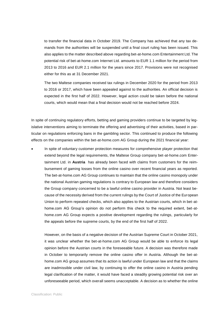to transfer the financial data in October 2019. The Company has achieved that any tax demands from the authorities will be suspended until a final court ruling has been issued. This also applies to the matter described above regarding bet-at-home.com Entertainment Ltd. The potential risk of bet-at-home.com Internet Ltd. amounts to EUR 1.1 million for the period from 2013 to 2016 and EUR 2.1 million for the years since 2017. Provisions were not recognised either for this as at 31 December 2021.

The two Maltese companies received tax rulings in December 2020 for the period from 2013 to 2016 or 2017, which have been appealed against to the authorities. An official decision is expected in the first half of 2022. However, legal action could be taken before the national courts, which would mean that a final decision would not be reached before 2024.

In spite of continuing regulatory efforts, betting and gaming providers continue to be targeted by legislative interventions aiming to terminate the offering and advertising of their activities, based in particular on regulations enforcing bans in the gambling sector. This continued to produce the following effects on the companies within the bet-at-home.com AG Group during the 2021 financial year:

• In spite of voluntary customer protection measures for comprehensive player protection that extend beyond the legal requirements, the Maltese Group company bet-at-home.com Entertainment Ltd. in **Austria** has already been faced with claims from customers for the reimbursement of gaming losses from the online casino over recent financial years as reported. The bet-at-home.com AG Group continues to maintain that the online casino monopoly under the national Austrian gaming regulations is contrary to European law and therefore considers the Group company concerned to be a lawful online casino provider in Austria. Not least because of the necessity derived from the current rulings by the Court of Justice of the European Union to perform repeated checks, which also applies to the Austrian courts, which in bet-athome.com AG Group's opinion do not perform this check to the required extent, bet-athome.com AG Group expects a positive development regarding the rulings, particularly for the appeals before the supreme courts, by the end of the first half of 2022.

However, on the basis of a negative decision of the Austrian Supreme Court in October 2021, it was unclear whether the bet-at-home.com AG Group would be able to enforce its legal opinion before the Austrian courts in the foreseeable future. A decision was therefore made in October to temporarily remove the online casino offer in Austria. Although the bet-athome.com AG group assumes that its action is lawful under European law and that the claims are inadmissible under civil law, by continuing to offer the online casino in Austria pending legal clarification of the matter, it would have faced a steadily growing potential risk over an unforeseeable period, which overall seems unacceptable. A decision as to whether the online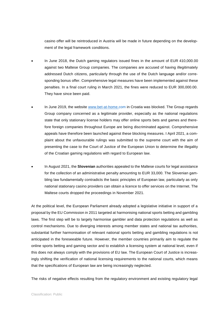casino offer will be reintroduced in Austria will be made in future depending on the development of the legal framework conditions.

- In June 2018, the Dutch gaming regulators issued fines in the amount of EUR 410,000.00 against two Maltese Group companies. The companies are accused of having illegitimately addressed Dutch citizens, particularly through the use of the Dutch language and/or corresponding bonus offer. Comprehensive legal measures have been implemented against these penalties. In a final court ruling in March 2021, the fines were reduced to EUR 300,000.00. They have since been paid.
- In June 2019, the website [www.bet-at-home.com](http://www.bet-at-home.com/) in Croatia was blocked. The Group regards Group company concerned as a legitimate provider, especially as the national regulations state that only stationary license holders may offer online sports bets and games and therefore foreign companies throughout Europe are being discriminated against. Comprehensive appeals have therefore been launched against these blocking measures. I April 2021, a complaint about the unfavourable rulings was submitted to the supreme court with the aim of presenting the case to the Court of Justice of the European Union to determine the illegality of the Croatian gaming regulations with regard to European law.
- In August 2021, the **Slovenian** authorities appealed to the Maltese courts for legal assistance for the collection of an administrative penalty amounting to EUR 33,000. The Slovenian gambling law fundamentally contradicts the basic principles of European law, particularly as only national stationary casino providers can obtain a licence to offer services on the Internet. The Maltese courts dropped the proceedings in November 2021.

At the political level, the European Parliament already adopted a legislative initiative in support of a proposal by the EU Commission in 2011 targeted at harmonising national sports betting and gambling laws. The first step will be to largely harmonise gambler and data protection regulations as well as control mechanisms. Due to diverging interests among member states and national tax authorities, substantial further harmonisation of relevant national sports betting and gambling regulations is not anticipated in the foreseeable future. However, the member countries primarily aim to regulate the online sports betting and gaming sector and to establish a licensing system at national level, even if this does not always comply with the provisions of EU law. The European Court of Justice is increasingly shifting the verification of national licensing requirements to the national courts, which means that the specifications of European law are being increasingly neglected.

The risks of negative effects resulting from the regulatory environment and existing regulatory legal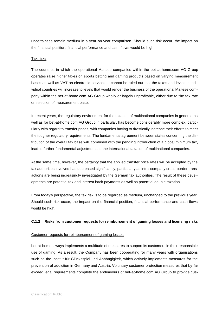uncertainties remain medium in a year-on-year comparison. Should such risk occur, the impact on the financial position, financial performance and cash flows would be high.

#### Tax risks

The countries in which the operational Maltese companies within the bet-at-home.com AG Group operates raise higher taxes on sports betting and gaming products based on varying measurement bases as well as VAT on electronic services. It cannot be ruled out that the taxes and levies in individual countries will increase to levels that would render the business of the operational Maltese company within the bet-at-home.com AG Group wholly or largely unprofitable, either due to the tax rate or selection of measurement base.

In recent years, the regulatory environment for the taxation of multinational companies in general, as well as for bet-at-home.com AG Group in particular, has become considerably more complex, particularly with regard to transfer prices, with companies having to drastically increase their efforts to meet the tougher regulatory requirements. The fundamental agreement between states concerning the distribution of the overall tax base will, combined with the pending introduction of a global minimum tax, lead to further fundamental adjustments to the international taxation of multinational companies.

At the same time, however, the certainty that the applied transfer price rates will be accepted by the tax authorities involved has decreased significantly, particularly as intra-company cross-border transactions are being increasingly investigated by the German tax authorities. The result of these developments are potential tax and interest back payments as well as potential double taxation.

From today's perspective, the tax risk is to be regarded as medium, unchanged to the previous year. Should such risk occur, the impact on the financial position, financial performance and cash flows would be high.

#### **C.1.2 Risks from customer requests for reimbursement of gaming losses and licensing risks**

#### Customer requests for reimbursement of gaming losses

bet-at-home always implements a multitude of measures to support its customers in their responsible use of gaming. As a result, the Company has been cooperating for many years with organisations such as the Institut für Glücksspiel und Abhängigkeit, which actively implements measures for the prevention of addiction in Germany and Austria. Voluntary customer protection measures that by far exceed legal requirements complete the endeavours of bet-at-home.com AG Group to provide cus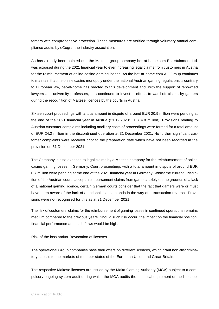tomers with comprehensive protection. These measures are verified through voluntary annual compliance audits by eCogra, the industry association.

As has already been pointed out, the Maltese group company bet-at-home.com Entertainment Ltd. was exposed during the 2021 financial year to ever increasing legal claims from customers in Austria for the reimbursement of online casino gaming losses. As the bet-at-home.com AG Group continues to maintain that the online casino monopoly under the national Austrian gaming regulations is contrary to European law, bet-at-home has reacted to this development and, with the support of renowned lawyers and university professors, has continued to invest in efforts to ward off claims by gamers during the recognition of Maltese licences by the courts in Austria.

Sixteen court proceedings with a total amount in dispute of around EUR 20.9 million were pending at the end of the 2021 financial year in Austria (31.12.2020: EUR 4.8 million). Provisions relating to Austrian customer complaints including ancillary costs of proceedings were formed for a total amount of EUR 24.2 million in the discontinued operation at 31 December 2021. No further significant customer complaints were received prior to the preparation date which have not been recorded in the provision on 31 December 2021.

The Company is also exposed to legal claims by a Maltese company for the reimbursement of online casino gaming losses in Germany. Court proceedings with a total amount in dispute of around EUR 0.7 million were pending at the end of the 2021 financial year in Germany. Whilst the current jurisdiction of the Austrian courts accepts reimbursement claims from gamers solely on the grounds of a lack of a national gaming licence, certain German courts consider that the fact that gamers were or must have been aware of the lack of a national licence stands in the way of a transaction reversal. Provisions were not recognised for this as at 31 December 2021.

The risk of customers' claims for the reimbursement of gaming losses in continued operations remains medium compared to the previous years. Should such risk occur, the impact on the financial position, financial performance and cash flows would be high.

#### Risk of the loss and/or Revocation of licenses

The operational Group companies base their offers on different licences, which grant non-discriminatory access to the markets of member states of the European Union and Great Britain.

The respective Maltese licenses are issued by the Malta Gaming Authority (MGA) subject to a compulsory ongoing system audit during which the MGA audits the technical equipment of the licensee,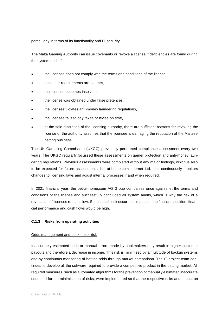particularly in terms of its functionality and IT security.

The Malta Gaming Authority can issue covenants or revoke a license if deficiencies are found during the system audit if

- the licensee does not comply with the terms and conditions of the license,
- customer requirements are not met,
- the licensee becomes insolvent.
- the license was obtained under false pretences,
- the licensee violates anti-money laundering regulations,
- the licensee fails to pay taxes or levies on time,
- at the sole discretion of the licensing authority, there are sufficient reasons for revoking the license or the authority assumes that the licensee is damaging the reputation of the Maltese betting business.

The UK Gambling Commission (UKGC) previously performed compliance assessment every two years. The UKGC regularly focussed these assessments on gamer protection and anti-money laundering regulations. Previous assessments were completed without any major findings, which is also to be expected for future assessments. bet-at-home.com Internet Ltd. also continuously monitors changes to licensing laws and adjust internal processes if and when required.

In 2021 financial year, the bet-at-home.com AG Group companies once again met the terms and conditions of the license and successfully concluded all system audits, which is why the risk of a revocation of licenses remains low. Should such risk occur, the impact on the financial position, financial performance and cash flows would be high.

#### **C.1.3 Risks from operating activities**

#### Odds management and bookmaker risk

Inaccurately estimated odds or manual errors made by bookmakers may result in higher customer payouts and therefore a decrease in income. This risk is minimised by a multitude of backup systems and by continuous monitoring of betting odds through market comparison. The IT project team continues to develop all the software required to provide a competitive product in the betting market. All required measures, such as automated algorithms for the prevention of manually estimated inaccurate odds and for the minimisation of risks, were implemented so that the respective risks and impact on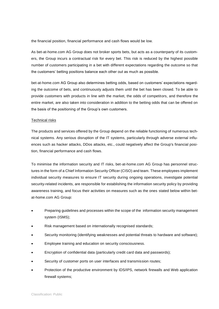the financial position, financial performance and cash flows would be low.

As bet-at-home.com AG Group does not broker sports bets, but acts as a counterparty of its customers, the Group incurs a contractual risk for every bet. This risk is reduced by the highest possible number of customers participating in a bet with different expectations regarding the outcome so that the customers' betting positions balance each other out as much as possible.

bet-at-home.com AG Group also determines betting odds, based on customers' expectations regarding the outcome of bets, and continuously adjusts them until the bet has been closed. To be able to provide customers with products in line with the market, the odds of competitors, and therefore the entire market, are also taken into consideration in addition to the betting odds that can be offered on the basis of the positioning of the Group's own customers.

#### Technical risks

The products and services offered by the Group depend on the reliable functioning of numerous technical systems. Any serious disruption of the IT systems, particularly through adverse external influences such as hacker attacks, DDos attacks, etc., could negatively affect the Group's financial position, financial performance and cash flows.

To minimise the information security and IT risks, bet-at-home.com AG Group has personnel structures in the form of a Chief Information Security Officer (CISO) and team. These employees implement individual security measures to ensure IT security during ongoing operations, investigate potential security-related incidents, are responsible for establishing the information security policy by providing awareness training, and focus their activities on measures such as the ones stated below within betat-home.com AG Group:

- Preparing guidelines and processes within the scope of the information security management system (ISMS);
- Risk management based on internationally recognised standards;
- Security monitoring (identifying weaknesses and potential threats to hardware and software);
- Employee training and education on security consciousness.
- Encryption of confidential data (particularly credit card data and passwords);
- Security of customer ports on user interfaces and transmission routes;
- Protection of the productive environment by IDS/IPS, network firewalls and Web application firewall systems;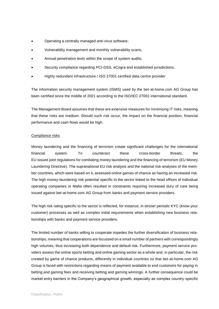- Operating a centrally managed anti-virus software;
- Vulnerability management and monthly vulnerability scans;
- Annual penetration tests within the scope of system audits;
- Security compliance regarding PCI-DSS, eCogra and established jurisdictions;
- Highly redundant infrastructure / ISO 27001 certified data centre provider

The information security management system (ISMS) used by the bet-at-home.com AG Group has been certified since the middle of 2021 according to the ISO/IEC 27001 international standard.

The Management Board assumes that these are extensive measures for minimising IT risks, meaning that these risks are medium. Should such risk occur, the impact on the financial position, financial performance and cash flows would be high.

#### Compliance risks

Money laundering and the financing of terrorism create significant challenges for the international financial system. To counteract these cross-border threats, the EU issued joint regulations for combating money laundering and the financing of terrorism (EU Money Laundering Directive). The supranational EU risk analysis and the national risk analyses of the member countries, which were based on it, assessed online games of chance as having an increased risk. The high money-laundering risk potential specific to the sector linked to the head offices of individual operating companies in Malta often resulted in constraints requiring increased duty of care being issued against bet-at-home.com AG Group from banks and payment service providers.

The high risk rating specific to the sector is reflected, for instance, in stricter periodic KYC (know your customer) processes as well as complex initial requirements when establishing new business relationships with banks and payment service providers.

The limited number of banks willing to cooperate impedes the further diversification of business relationships, meaning that cooperations are focussed on a small number of partners with correspondingly high volumes, thus increasing both dependence and default risk. Furthermore, payment service providers assess the online sports betting and online gaming sector as a whole and, in particular, the risk created by game of chance products, differently in individual countries so that bet-at-home.com AG Group is faced with restrictions regarding means of payment available to end customers for paying in betting and gaming fees and receiving betting and gaming winnings. A further consequence could be market entry barriers in the Company's geographical growth, especially as complex country-specific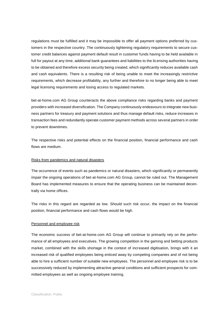regulations must be fulfilled and it may be impossible to offer all payment options preferred by customers in the respective country. The continuously tightening regulatory requirements to secure customer credit balances against payment default result in customer funds having to be held available in full for payout at any time, additional bank guarantees and liabilities to the licensing authorities having to be obtained and therefore excess security being created, which significantly reduces available cash and cash equivalents. There is a resulting risk of being unable to meet the increasingly restrictive requirements, which decrease profitability, any further and therefore to no longer being able to meet legal licensing requirements and losing access to regulated markets.

bet-at-home.com AG Group counteracts the above compliance risks regarding banks and payment providers with increased diversification. The Company continuously endeavours to integrate new business partners for treasury and payment solutions and thus manage default risks, reduce increases in transaction fees and redundantly operate customer payment methods across several partners in order to prevent downtimes.

The respective risks and potential effects on the financial position, financial performance and cash flows are medium.

#### Risks from pandemics and natural disasters

The occurrence of events such as pandemics or natural disasters, which significantly or permanently impair the ongoing operations of bet-at-home.com AG Group, cannot be ruled out. The Management Board has implemented measures to ensure that the operating business can be maintained decentrally via home offices.

The risks in this regard are regarded as low. Should such risk occur, the impact on the financial position, financial performance and cash flows would be high.

#### Personnel and employee risk

The economic success of bet-at-home.com AG Group will continue to primarily rely on the performance of all employees and executives. The growing competition in the gaming and betting products market, combined with the skills shortage in the context of increased digitisation, brings with it an increased risk of qualified employees being enticed away by competing companies and of not being able to hire a sufficient number of suitable new employees. The personnel and employee risk is to be successively reduced by implementing attractive general conditions and sufficient prospects for committed employees as well as ongoing employee training.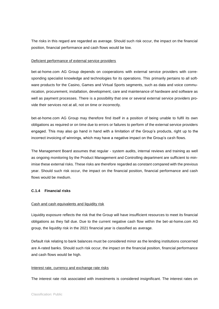The risks in this regard are regarded as average. Should such risk occur, the impact on the financial position, financial performance and cash flows would be low.

#### Deficient performance of external service providers

bet-at-home.com AG Group depends on cooperations with external service providers with corresponding specialist knowledge and technologies for its operations. This primarily pertains to all software products for the Casino, Games and Virtual Sports segments, such as data and voice communication, procurement, installation, development, care and maintenance of hardware and software as well as payment processes. There is a possibility that one or several external service providers provide their services not at all, not on time or incorrectly.

bet-at-home.com AG Group may therefore find itself in a position of being unable to fulfil its own obligations as required or on time due to errors or failures to perform of the external service providers engaged. This may also go hand in hand with a limitation of the Group's products, right up to the incorrect invoicing of winnings, which may have a negative impact on the Group's cash flows.

The Management Board assumes that regular - system audits, internal reviews and training as well as ongoing monitoring by the Product Management and Controlling department are sufficient to minimise these external risks. These risks are therefore regarded as constant compared with the previous year. Should such risk occur, the impact on the financial position, financial performance and cash flows would be medium.

#### **C.1.4 Financial risks**

#### Cash and cash equivalents and liquidity risk

Liquidity exposure reflects the risk that the Group will have insufficient resources to meet its financial obligations as they fall due. Due to the current negative cash flow within the bet-at-home.com AG group, the liquidity risk in the 2021 financial year is classified as average.

Default risk relating to bank balances must be considered minor as the lending institutions concerned are A-rated banks. Should such risk occur, the impact on the financial position, financial performance and cash flows would be high.

#### Interest rate, currency and exchange rate risks

The interest rate risk associated with investments is considered insignificant. The interest rates on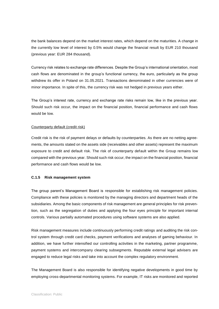the bank balances depend on the market interest rates, which depend on the maturities. A change in the currently low level of interest by 0.5% would change the financial result by EUR 210 thousand (previous year: EUR 284 thousand).

Currency risk relates to exchange rate differences. Despite the Group's international orientation, most cash flows are denominated in the group's functional currency, the euro, particularly as the group withdrew its offer in Poland on 31.05.2021. Transactions denominated in other currencies were of minor importance. In spite of this, the currency risk was not hedged in previous years either.

The Group's interest rate, currency and exchange rate risks remain low, like in the previous year. Should such risk occur, the impact on the financial position, financial performance and cash flows would be low.

#### Counterparty default (credit risk)

Credit risk is the risk of payment delays or defaults by counterparties. As there are no netting agreements, the amounts stated on the assets side (receivables and other assets) represent the maximum exposure to credit and default risk. The risk of counterparty default within the Group remains low compared with the previous year. Should such risk occur, the impact on the financial position, financial performance and cash flows would be low.

#### **C.1.5 Risk management system**

The group parent's Management Board is responsible for establishing risk management policies. Compliance with these policies is monitored by the managing directors and department heads of the subsidiaries. Among the basic components of risk management are general principles for risk prevention, such as the segregation of duties and applying the four eyes principle for important internal controls. Various partially automated procedures using software systems are also applied.

Risk management measures include continuously performing credit ratings and auditing the risk control system through credit card checks, payment verifications and analyses of gaming behaviour. In addition, we have further intensified our controlling activities in the marketing, partner programme, payment systems and intercompany clearing subsegments. Reputable external legal advisers are engaged to reduce legal risks and take into account the complex regulatory environment.

The Management Board is also responsible for identifying negative developments in good time by employing cross-departmental monitoring systems. For example, IT risks are monitored and reported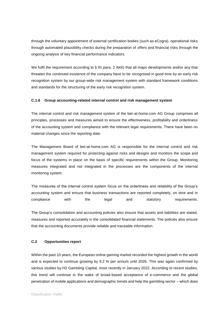through the voluntary appointment of external certification bodies (such as eCogra), operational risks through automated plausibility checks during the preparation of offers and financial risks through the ongoing analysis of key financial performance indicators.

We fulfil the requirement according to § 91 para. 2 AktG that all major developments and/or any that threaten the continued existence of the company have to be recognised in good time by an early risk recognition system by our group-wide risk management system with standard framework conditions and standards for the structuring of the early risk recognition system.

#### **C.1.6 Group accounting-related internal control and risk management system**

The internal control and risk management system of the bet-at-home.com AG Group comprises all principles, processes and measures aimed to ensure the effectiveness, profitability and orderliness of the accounting system and compliance with the relevant legal requirements. There have been no material changes since the reporting date.

The Management Board of bet-at-home.com AG is responsible for the internal control and risk management system required for protecting against risks and designs and monitors the scope and focus of the systems in place on the basis of specific requirements within the Group. Monitoring measures integrated and not integrated in the processes are the components of the internal monitoring system.

The measures of the internal control system focus on the orderliness and reliability of the Group's accounting system and ensure that business transactions are reported completely, on time and in compliance with the legal and statutory requirements.

The Group's consolidation and accounting policies also ensure that assets and liabilities are stated, measures and reported accurately in the consolidated financial statements. The policies also ensure that the accounting documents provide reliable and traceable information.

#### **C.2 Opportunities report**

Within the past 10 years, the European online gaming market recorded the highest growth in the world and is expected to continue growing by 9.2 % per annum until 2026. This was again confirmed by various studies by H2 Gambling Capital, most recently in January 2022. According to recent studies, this trend will continue in the wake of broad-based acceptance of e-commerce and the global penetration of mobile applications and demographic trends and help the gambling sector – which does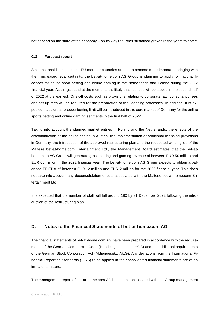not depend on the state of the economy – on its way to further sustained growth in the years to come.

#### **C.3 Forecast report**

Since national licences in the EU member countries are set to become more important, bringing with them increased legal certainty, the bet-at-home.com AG Group is planning to apply for national licences for online sport betting and online gaming in the Netherlands and Poland during the 2022 financial year. As things stand at the moment, it is likely that licences will be issued in the second half of 2022 at the earliest. One-off costs such as provisions relating to corporate law, consultancy fees and set-up fees will be required for the preparation of the licensing processes. In addition, it is expected that a cross-product betting limit will be introduced in the core market of Germany for the online sports betting and online gaming segments in the first half of 2022.

Taking into account the planned market entries in Poland and the Netherlands, the effects of the discontinuation of the online casino in Austria, the implementation of additional licensing provisions in Germany, the introduction of the approved restructuring plan and the requested winding-up of the Maltese bet-at-home.com Entertainment Ltd., the Management Board estimates that the bet-athome.com AG Group will generate gross betting and gaming revenue of between EUR 50 million and EUR 60 million in the 2022 financial year. The bet-at-home.com AG Group expects to obtain a balanced EBITDA of between EUR -2 million and EUR 2 million for the 2022 financial year. This does not take into account any deconsolidation effects associated with the Maltese bet-at-home.com Entertainment Ltd.

It is expected that the number of staff will fall around 180 by 31 December 2022 following the introduction of the restructuring plan.

## **D. Notes to the Financial Statements of bet-at-home.com AG**

The financial statements of bet-at-home.com AG have been prepared in accordance with the requirements of the German Commercial Code (Handelsgesetzbuch; HGB) and the additional requirements of the German Stock Corporation Act (Aktiengesetz; AktG). Any deviations from the International Financial Reporting Standards (IFRS) to be applied in the consolidated financial statements are of an immaterial nature.

The management report of bet-at-home.com AG has been consolidated with the Group management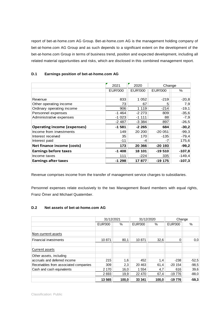report of bet-at-home.com AG Group. Bet-at-home.com AG is the management holding company of bet-at-home.com AG Group and as such depends to a significant extent on the development of the bet-at-home.com Group in terms of business trend, position and expected development, including all related material opportunities and risks, which are disclosed in this combined management report.

## **D.1 Earnings position of bet-at-home.com AG**

|                                    | 2021            | 2020           | Change         |          |
|------------------------------------|-----------------|----------------|----------------|----------|
|                                    | <b>EUR'000</b>  | <b>EUR'000</b> | <b>EUR'000</b> | %        |
|                                    |                 |                |                |          |
| Revenue                            | 833             | 1 0 5 2        | $-219$         | $-20,8$  |
| Other operating income             | 73              | 67             | 5              | 7,9      |
| Ordinary operating income          | 906             | 1 1 1 9        | $-214$         | $-19,1$  |
| Personnel expenses                 | $-1464$         | $-2273$        | 809            | $-35,6$  |
| Administrative expenses            | $-1023$         | $-1$ 111       | 88             | $-7,9$   |
|                                    | $-2487$         | $-3.384$       | 897            | $-26,5$  |
| <b>Operating income (expenses)</b> | $-1581$         | $-2265$        | 684            | $-30,2$  |
| Income from investments            | 149             | 20 200         | $-20051$       | $-99,3$  |
| Interest received                  | 35 <sub>1</sub> | 170            | $-135$         | $-79,4$  |
| Interest paid                      | -11             | -4             | -7             | 175,6    |
| Net finance income (costs)         | 173             | 20 366         | $-20$ 193      | $-99,2$  |
| <b>Earnings before taxes</b>       | $-1408$         | 18 101         | $-19510$       | $-107,8$ |
| Income taxes                       | 111             | $-224$         | 335            | $-149,4$ |
| <b>Earnings after taxes</b>        | $-1298$         | 17877          | -19 175        | $-107,3$ |

Revenue comprises income from the transfer of management service charges to subsidiaries.

Personnel expenses relate exclusively to the two Management Board members with equal rights, Franz Ömer and Michael Quatember.

## **D.2 Net assets of bet-at-home.com AG**

|                                       | 31/12/2021     |       | 31/12/2020     |       | Change         |         |
|---------------------------------------|----------------|-------|----------------|-------|----------------|---------|
|                                       | <b>EUR'000</b> | %     | <b>EUR'000</b> | %     | <b>EUR'000</b> | $\%$    |
|                                       |                |       |                |       |                |         |
| Non-current assets                    |                |       |                |       |                |         |
| <b>Financial investments</b>          | 10 871         | 80.1  | 10 871         | 32.6  | 0              | 0,0     |
|                                       |                |       |                |       |                |         |
| Current assets                        |                |       |                |       |                |         |
| Other assets, including               |                |       |                |       |                |         |
| accruals and deferred income          | 215            | 1,6   | 452            | 1,4   | $-238$         | $-52,5$ |
| Receivables from associated companies | 309            | 2,3   | 20 4 63        | 61,4  | $-20154$       | $-98,5$ |
| Cash and cash equivalents             | 2 170          | 16,0  | 1 5 5 4        | 4,7   | 616            | 39,6    |
|                                       | 2 6 9 3        | 19,9  | 22 470         | 67,4  | $-19776$       | $-88,0$ |
|                                       | 13 565         | 100.0 | 33 341         | 100.0 | $-19776$       | $-59,3$ |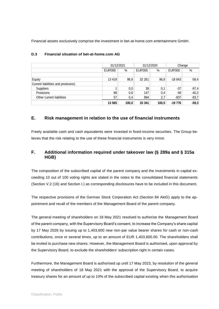Financial assets exclusively comprise the investment in bet-at-home.com entertainment GmbH.

|                                     |                | 31/12/2021 |                 | 31/12/2020 |          | Change  |  |
|-------------------------------------|----------------|------------|-----------------|------------|----------|---------|--|
|                                     | <b>EUR'000</b> | %          | <b>EUR'000</b>  | %          | EUR'000  | %       |  |
|                                     |                |            |                 |            |          |         |  |
| Equity                              | 13 4 19        | 98.9       | 32 261          | 96.8       | $-18843$ | $-58,4$ |  |
| Current liabilities and provisions) |                |            |                 |            |          |         |  |
| <b>Suppliers</b>                    |                | 0,0        | 38 <sup>1</sup> | 0,1        | $-37$    | $-97,4$ |  |
| Provisions                          | 88             | 0,6        | 147             | 0,4        | $-59$    | $-40,2$ |  |
| Other current liabilities           | 57             | 0,4        | 894             | 2,7        | $-837$   | $-93,7$ |  |
|                                     | 13 5 65        | 100,0      | 33 341          | 100,0      | -19 776  | $-59,3$ |  |

## **D.3 Financial situation of bet-at-home.com AG**

## **E. Risk management in relation to the use of financial instruments**

Freely available cash and cash equivalents were invested in fixed-income securities. The Group believes that the risk relating to the use of these financial instruments is very minor.

## **F. Additional information required under takeover law (§ 289a and § 315a HGB)**

The composition of the subscribed capital of the parent company and the investments in capital exceeding 10 out of 100 voting rights are stated in the notes to the consolidated financial statements (Section V.2 (16) and Section I.) as corresponding disclosures have to be included in this document.

The respective provisions of the German Stock Corporation Act (Section 84 AktG) apply to the appointment and recall of the members of the Management Board of the parent company.

The general meeting of shareholders on 18 May 2021 resolved to authorise the Management Board of the parent company, with the Supervisory Board's consent, to increase the Company's share capital by 17 May 2026 by issuing up to 1,403,600 new non-par value bearer shares for cash or non-cash contributions, once or several times, up to an amount of EUR 1,403,600.00. The shareholders shall be invited to purchase new shares. However, the Management Board is authorised, upon approval by the Supervisory Board, to exclude the shareholders' subscription right in certain cases.

Furthermore, the Management Board is authorised up until 17 May 2023, by resolution of the general meeting of shareholders of 18 May 2021 with the approval of the Supervisory Board, to acquire treasury shares for an amount of up to 10% of the subscribed capital existing when this authorisation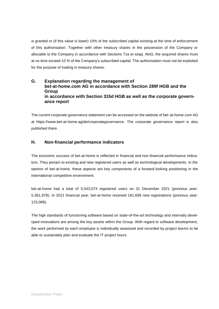is granted or (if this value is lower) 10% of the subscribed capital existing at the time of enforcement of this authorisation. Together with other treasury shares in the possession of the Company or allocable to the Company in accordance with Sections 71a et seqq. AktG, the acquired shares must at no time exceed 10 % of the Company's subscribed capital. The authorisation must not be exploited for the purpose of trading in treasury shares.

## **G. Explanation regarding the management of bet-at-home.com AG in accordance with Section 289f HGB and the Group in accordance with Section 315d HGB as well as the corporate governance report**

The current corporate governance statement can be accessed on the website of bet-at-home.com AG at [https://www.bet-at-home.ag/de/corporategovernance.](https://www.bet-at-home.ag/de/corporategovernance) The corporate governance report is also published there.

## **H. Non-financial performance indicators**

The economic success of bet-at-home is reflected in financial and non-financial performance indicators. They pertain to existing and new registered users as well as technological developments. In the opinion of bet-at-home, these aspects are key components of a forward-looking positioning in the international competitive environment.

bet-at-home had a total of 5,543,573 registered users on 31 December 2021 (previous year: 5,361,878). In 2021 financial year, bet-at-home received 181,695 new registrations (previous year: 123,089).

The high standards of functioning software based on state-of-the-art technology and internally developed innovations are among the key assets within the Group. With regard to software development, the work performed by each employee is individually assessed and recorded by project teams to be able to sustainably plan and evaluate the IT project hours.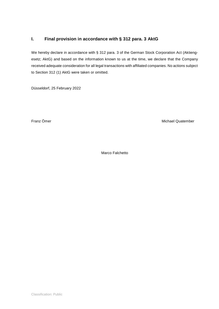## **I. Final provision in accordance with § 312 para. 3 AktG**

We hereby declare in accordance with § 312 para. 3 of the German Stock Corporation Act (Aktiengesetz; AktG) and based on the information known to us at the time, we declare that the Company received adequate consideration for all legal transactions with affiliated companies. No actions subject to Section 312 (1) AktG were taken or omitted.

Düsseldorf, 25 February 2022

Franz Ömer Michael Quatember Michael Quatember

Marco Falchetto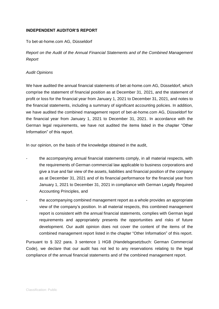## **INDEPENDENT AUDITOR'S REPORT**

## To bet-at-home.com AG, Düsseldorf

*Report on the Audit of the Annual Financial Statements and of the Combined Management Report* 

#### *Audit Opinions*

We have audited the annual financial statements of bet-at-home.com AG, Düsseldorf, which comprise the statement of financial position as at December 31, 2021, and the statement of profit or loss for the financial year from January 1, 2021 to December 31, 2021, and notes to the financial statements, including a summary of significant accounting policies. In addition, we have audited the combined management report of bet-at-home.com AG, Düsseldorf for the financial year from January 1, 2021 to December 31, 2021. In accordance with the German legal requirements, we have not audited the items listed in the chapter "Other Information" of this report.

In our opinion, on the basis of the knowledge obtained in the audit,

- the accompanying annual financial statements comply, in all material respects, with the requirements of German commercial law applicable to business corporations and give a true and fair view of the assets, liabilities and financial position of the company as at December 31, 2021 and of its financial performance for the financial year from January 1, 2021 to December 31, 2021 in compliance with German Legally Required Accounting Principles, and
- the accompanying combined management report as a whole provides an appropriate view of the company's position. In all material respects, this combined management report is consistent with the annual financial statements, complies with German legal requirements and appropriately presents the opportunities and risks of future development. Our audit opinion does not cover the content of the items of the combined management report listed in the chapter "Other Information" of this report.

Pursuant to § 322 para. 3 sentence 1 HGB (Handelsgesetzbuch: German Commercial Code), we declare that our audit has not led to any reservations relating to the legal compliance of the annual financial statements and of the combined management report.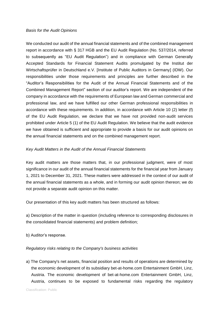#### *Basis for the Audit Opinions*

We conducted our audit of the annual financial statements and of the combined management report in accordance with § 317 HGB and the EU Audit Regulation (No. 537/2014, referred to subsequently as "EU Audit Regulation") and in compliance with German Generally Accepted Standards for Financial Statement Audits promulgated by the Institut der Wirtschaftsprüfer in Deutschland e.V. [Institute of Public Auditors in Germany] (IDW). Our responsibilities under those requirements and principles are further described in the "Auditor's Responsibilities for the Audit of the Annual Financial Statements and of the Combined Management Report" section of our auditor's report. We are independent of the company in accordance with the requirements of European law and German commercial and professional law, and we have fulfilled our other German professional responsibilities in accordance with these requirements. In addition, in accordance with Article 10 (2) letter (f) of the EU Audit Regulation, we declare that we have not provided non-audit services prohibited under Article 5 (1) of the EU Audit Regulation. We believe that the audit evidence we have obtained is sufficient and appropriate to provide a basis for our audit opinions on the annual financial statements and on the combined management report.

## *Key Audit Matters in the Audit of the Annual Financial Statements*

Key audit matters are those matters that, in our professional judgment, were of most significance in our audit of the annual financial statements for the financial year from January 1, 2021 to December 31, 2021. These matters were addressed in the context of our audit of the annual financial statements as a whole, and in forming our audit opinion thereon; we do not provide a separate audit opinion on this matter.

Our presentation of this key audit matters has been structured as follows:

a) Description of the matter in question (including reference to corresponding disclosures in the consolidated financial statements) and problem definition;

b) Auditor's response.

## *Regulatory risks relating to the Company's business activities*

a) The Company's net assets, financial position and results of operations are determined by the economic development of its subsidiary bet-at-home.com Entertainment GmbH, Linz, Austria. The economic development of bet-at-home.com Entertainment GmbH, Linz, Austria, continues to be exposed to fundamental risks regarding the regulatory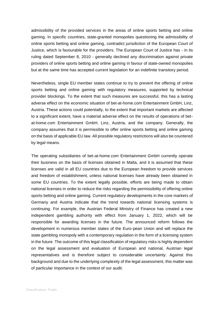admissibility of the provided services in the areas of online sports betting and online gaming. In specific countries, state-granted monopolies questioning the admissibility of online sports betting and online gaming, contradict jurisdiction of the European Court of Justice, which is favourable for the providers. The European Court of Justice has - in its ruling dated September 8, 2010 - generally declined any discrimination against private providers of online sports betting and online gaming in favour of state-owned monopolies but at the same time has accepted current legislation for an indefinite transitory period.

Nevertheless, single EU member states continue to try to prevent the offering of online sports betting and online gaming with regulatory measures, supported by technical provider blockings. To the extent that such measures are successful, this has a lasting adverse effect on the economic situation of bet-at-home.com Entertainment GmbH, Linz, Austria. These actions could potentially, to the extent that important markets are affected to a significant extent, have a material adverse effect on the results of operations of betat-home.com Entertainment GmbH, Linz, Austria, and the company. Generally, the company assumes that it is permissible to offer online sports betting and online gaming on the basis of applicable EU law. All possible regulatory restrictions will also be countered by legal means.

The operating subsidiaries of bet-at-home.com Entertainment GmbH currently operate their business on the basis of licenses obtained in Malta, and it is assumed that these licenses are valid in all EU countries due to the European freedom to provide services and freedom of establishment, unless national licenses have already been obtained in some EU countries. To the extent legally possible, efforts are being made to obtain national licenses in order to reduce the risks regarding the permissibility of offering online sports betting and online gaming. Current regulatory developments in the core markets of Germany and Austria indicate that the trend towards national licensing systems is continuing. For example, the Austrian Federal Ministry of Finance has created a new independent gambling authority with effect from January 1, 2022, which will be responsible for awarding licenses in the future. The announced reform follows the development in numerous member states of the Euro-pean Union and will replace the state gambling monopoly with a contemporary regulation in the form of a licensing system in the future. The outcome of this legal classification of regulatory risks is highly dependent on the legal assessment and evaluation of European and national, Austrian legal representatives and is therefore subject to considerable uncertainty. Against this background and due to the underlying complexity of the legal assessment, this matter was of particular importance in the context of our audit.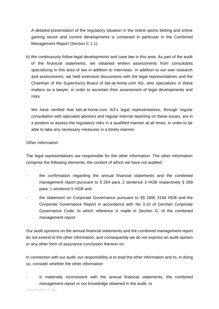A detailed presentation of the regulatory situation in the online sports betting and online gaming sector and current developments is contained in particular in the Combined Management Report (Section C.1.1).

b) We continuously follow legal developments and case law in this area. As part of the audit of the financial statements, we obtained written assessments from consultants specializing in this area of law in addition to interviews. In addition to our own research and assessments, we held extensive discussions with the legal representatives and the Chairman of the Supervisory Board of bet-at-home.com AG, who specializes in these matters as a lawyer, in order to ascertain their assessment of legal developments and risks.

We have verified that bet-at-home.com AG's legal representatives, through regular consultation with specialist advisors and regular internal reporting on these issues, are in a position to assess the regulatory risks in a qualified manner at all times, in order to be able to take any necessary measures in a timely manner.

## *Other Information*

The legal representatives are responsible for the other information. The other information comprise the following elements, the content of which we have not audited:

- the confirmation regarding the annual financial statements and the combined management report pursuant to § 264 para. 2 sentence 3 HGB respectively § 289 para. 1 sentence 5 HGB and
- the statement on Corporate Governance pursuant to §§ 289f, 315d HGB and the Corporate Governance Report in accordance with No 3.10 of German Corporate Governance Code, to which reference is made in Section G. of the combined management report.

Our audit opinions on the annual financial statements and the combined management report do not extend to the other information, and consequently we do not express an audit opinion or any other form of assurance conclusion thereon on.

In connection with our audit, our responsibility is to read the other information and to, in doing so, consider whether the other information

is materially inconsistent with the annual financial statements, the combined management report or our knowledge obtained in the audit, or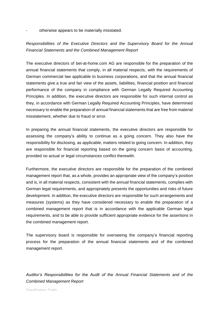otherwise appears to be materially misstated.

*Responsibilities of the Executive Directors and the Supervisory Board for the Annual Financial Statements and the Combined Management Report* 

The executive directors of bet-at-home.com AG are responsible for the preparation of the annual financial statements that comply, in all material respects, with the requirements of German commercial law applicable to business corporations, and that the annual financial statements give a true and fair view of the assets, liabilities, financial position and financial performance of the company in compliance with German Legally Required Accounting Principles. In addition, the executive directors are responsible for such internal control as they, in accordance with German Legally Required Accounting Principles, have determined necessary to enable the preparation of annual financial statements that are free from material misstatement, whether due to fraud or error.

In preparing the annual financial statements, the executive directors are responsible for assessing the company's ability to continue as a going concern. They also have the responsibility for disclosing, as applicable, matters related to going concern. In addition, they are responsible for financial reporting based on the going concern basis of accounting, provided no actual or legal circumstances conflict therewith.

Furthermore, the executive directors are responsible for the preparation of the combined management report that, as a whole, provides an appropriate view of the company's position and is, in all material respects, consistent with the annual financial statements, complies with German legal requirements, and appropriately presents the opportunities and risks of future development. In addition, the executive directors are responsible for such arrangements and measures (systems) as they have considered necessary to enable the preparation of a combined management report that is in accordance with the applicable German legal requirements, and to be able to provide sufficient appropriate evidence for the assertions in the combined management report.

The supervisory board is responsible for overseeing the company's financial reporting process for the preparation of the annual financial statements and of the combined management report.

*Auditor's Responsibilities for the Audit of the Annual Financial Statements and of the Combined Management Report*

Classification: Public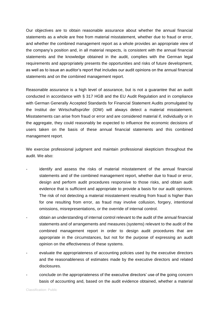Our objectives are to obtain reasonable assurance about whether the annual financial statements as a whole are free from material misstatement, whether due to fraud or error, and whether the combined management report as a whole provides an appropriate view of the company's position and, in all material respects, is consistent with the annual financial statements and the knowledge obtained in the audit, complies with the German legal requirements and appropriately presents the opportunities and risks of future development, as well as to issue an auditor's report that includes our audit opinions on the annual financial statements and on the combined management report.

Reasonable assurance is a high level of assurance, but is not a guarantee that an audit conducted in accordance with § 317 HGB and the EU Audit Regulation and in compliance with German Generally Accepted Standards for Financial Statement Audits promulgated by the Institut der Wirtschaftsprüfer (IDW) will always detect a material misstatement. Misstatements can arise from fraud or error and are considered material if, individually or in the aggregate, they could reasonably be expected to influence the economic decisions of users taken on the basis of these annual financial statements and this combined management report.

We exercise professional judgment and maintain professional skepticism throughout the audit. We also:

- identify and assess the risks of material misstatement of the annual financial statements and of the combined management report, whether due to fraud or error, design and perform audit procedures responsive to those risks, and obtain audit evidence that is sufficient and appropriate to provide a basis for our audit opinions. The risk of not detecting a material misstatement resulting from fraud is higher than for one resulting from error, as fraud may involve collusion, forgery, intentional omissions, misrepresentations, or the override of internal control.
- obtain an understanding of internal control relevant to the audit of the annual financial statements and of arrangements and measures (systems) relevant to the audit of the combined management report in order to design audit procedures that are appropriate in the circumstances, but not for the purpose of expressing an audit opinion on the effectiveness of these systems.
- evaluate the appropriateness of accounting policies used by the executive directors and the reasonableness of estimates made by the executive directors and related disclosures.
- conclude on the appropriateness of the executive directors' use of the going concern basis of accounting and, based on the audit evidence obtained, whether a material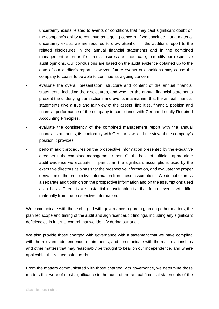uncertainty exists related to events or conditions that may cast significant doubt on the company's ability to continue as a going concern. If we conclude that a material uncertainty exists, we are required to draw attention in the auditor's report to the related disclosures in the annual financial statements and in the combined management report or, if such disclosures are inadequate, to modify our respective audit opinions. Our conclusions are based on the audit evidence obtained up to the date of our auditor's report. However, future events or conditions may cause the company to cease to be able to continue as a going concern.

- evaluate the overall presentation, structure and content of the annual financial statements, including the disclosures, and whether the annual financial statements present the underlying transactions and events in a manner that the annual financial statements give a true and fair view of the assets, liabilities, financial position and financial performance of the company in compliance with German Legally Required Accounting Principles.
- evaluate the consistency of the combined management report with the annual financial statements, its conformity with German law, and the view of the company's position it provides.
- perform audit procedures on the prospective information presented by the executive directors in the combined management report. On the basis of sufficient appropriate audit evidence we evaluate, in particular, the significant assumptions used by the executive directors as a basis for the prospective information, and evaluate the proper derivation of the prospective information from these assumptions. We do not express a separate audit opinion on the prospective information and on the assumptions used as a basis. There is a substantial unavoidable risk that future events will differ materially from the prospective information.

We communicate with those charged with governance regarding, among other matters, the planned scope and timing of the audit and significant audit findings, including any significant deficiencies in internal control that we identify during our audit.

We also provide those charged with governance with a statement that we have complied with the relevant independence requirements, and communicate with them all relationships and other matters that may reasonably be thought to bear on our independence, and where applicable, the related safeguards.

From the matters communicated with those charged with governance, we determine those matters that were of most significance in the audit of the annual financial statements of the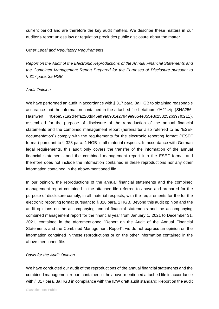current period and are therefore the key audit matters. We describe these matters in our auditor's report unless law or regulation precludes public disclosure about the matter.

## *Other Legal and Regulatory Requirements*

*Report on the Audit of the Electronic Reproductions of the Annual Financial Statements and the Combined Management Report Prepared for the Purposes of Disclosure pursuant to § 317 para. 3a HGB*

## *Audit Opinion*

We have performed an audit in accordance with § 317 para. 3a HGB to obtaining reasonable assurance that the information contained in the attached file betathomeJA21.zip (SHA256- Hashwert: 40ebe571a2d44fa220dd45eff9a0901e27949e9654e855e3c238252b397f0211), assembled for the purpose of disclosure of the reproduction of the annual financial statements and the combined management report (hereinafter also referred to as "ESEF documentation") comply with the requirements for the electronic reporting format ("ESEF format) pursuant to § 328 para. 1 HGB in all material respects. In accordance with German legal requirements, this audit only covers the transfer of the information of the annual financial statements and the combined management report into the ESEF format and therefore does not include the information contained in these reproductions nor any other information contained in the above-mentioned file.

In our opinion, the reproductions of the annual financial statements and the combined management report contained in the attached file referred to above and prepared for the purpose of disclosure comply, in all material respects, with the requirements for the for the electronic reporting format pursuant to § 328 para. 1 HGB. Beyond this audit opinion and the audit opinions on the accompanying annual financial statements and the accompanying combined management report for the financial year from January 1, 2021 to December 31, 2021, contained in the aforementioned "Report on the Audit of the Annual Financial Statements and the Combined Management Report", we do not express an opinion on the information contained in these reproductions or on the other information contained in the above mentioned file.

## *Basis for the Audit Opinion*

We have conducted our audit of the reproductions of the annual financial statements and the combined management report contained in the above-mentioned attached file in accordance with § 317 para. 3a HGB in compliance with the IDW draft audit standard: Report on the audit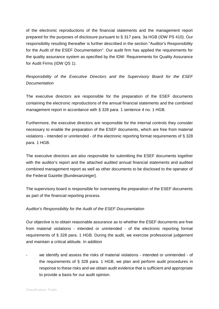of the electronic reproductions of the financial statements and the management report prepared for the purposes of disclosure pursuant to § 317 para. 3a HGB (IDW PS 410). Our responsibility resulting thereafter is further described in the section "Auditor's Responsibility for the Audit of the ESEF Documentation". Our audit firm has applied the requirements for the quality assurance system as specified by the IDW: Requirements for Quality Assurance for Audit Firms (IDW QS 1).

*Responsibility of the Executive Directors and the Supervisory Board for the ESEF Documentation* 

The executive directors are responsible for the preparation of the ESEF documents containing the electronic reproductions of the annual financial statements and the combined management report in accordance with § 328 para. 1 sentence 4 no. 1 HGB.

Furthermore, the executive directors are responsible for the internal controls they consider necessary to enable the preparation of the ESEF documents, which are free from material violations - intended or unintended - of the electronic reporting format requirements of § 328 para. 1 HGB.

The executive directors are also responsible for submitting the ESEF documents together with the auditor's report and the attached audited annual financial statements and audited combined management report as well as other documents to be disclosed to the operator of the Federal Gazette [Bundesanzeiger].

The supervisory board is responsible for overseeing the preparation of the ESEF documents as part of the financial reporting process.

## *Auditor's Responsibility for the Audit of the ESEF Documentation*

Our objective is to obtain reasonable assurance as to whether the ESEF documents are free from material violations - intended or unintended - of the electronic reporting format requirements of § 328 para. 1 HGB. During the audit, we exercise professional judgement and maintain a critical attitude. In addition

we identify and assess the risks of material violations - intended or unintended - of the requirements of § 328 para. 1 HGB, we plan and perform audit procedures in response to these risks and we obtain audit evidence that is sufficient and appropriate to provide a basis for our audit opinion.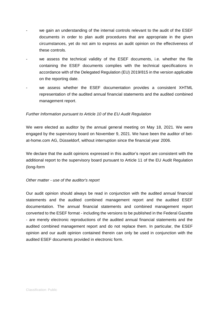- we gain an understanding of the internal controls relevant to the audit of the ESEF documents in order to plan audit procedures that are appropriate in the given circumstances, yet do not aim to express an audit opinion on the effectiveness of these controls.
- we assess the technical validity of the ESEF documents, i.e. whether the file containing the ESEF documents complies with the technical specifications in accordance with of the Delegated Regulation (EU) 2019/815 in the version applicable on the reporting date.
- we assess whether the ESEF documentation provides a consistent XHTML representation of the audited annual financial statements and the audited combined management report.

## *Further Information pursuant to Article 10 of the EU Audit Regulation*

We were elected as auditor by the annual general meeting on May 18, 2021. We were engaged by the supervisory board on November 9, 2021. We have been the auditor of betat-home.com AG, Düsseldorf, without interruption since the financial year 2006.

We declare that the audit opinions expressed in this auditor's report are consistent with the additional report to the supervisory board pursuant to Article 11 of the EU Audit Regulation (long-form

## *Other matter - use of the auditor's report*

Our audit opinion should always be read in conjunction with the audited annual financial statements and the audited combined management report and the audited ESEF documentation. The annual financial statements and combined management report converted to the ESEF format - including the versions to be published in the Federal Gazette - are merely electronic reproductions of the audited annual financial statements and the audited combined management report and do not replace them. In particular, the ESEF opinion and our audit opinion contained therein can only be used in conjunction with the audited ESEF documents provided in electronic form.